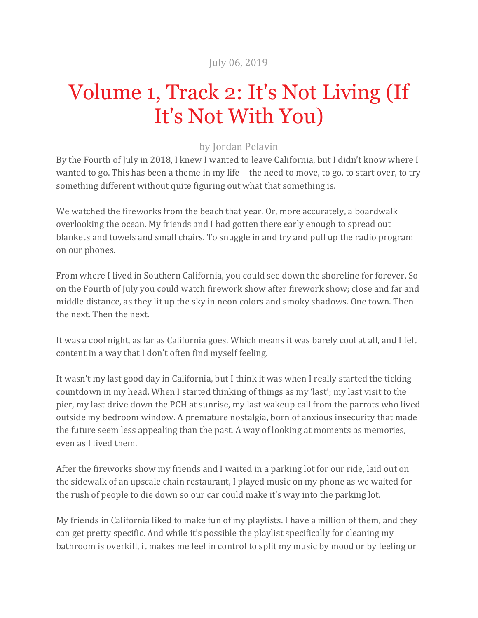## July 06, 2019

## Volume 1, Track 2: It's Not Living (If It's Not With You)

## by Jordan Pelavin

By the Fourth of July in 2018, I knew I wanted to leave California, but I didn't know where I wanted to go. This has been a theme in my life—the need to move, to go, to start over, to try something different without quite figuring out what that something is.

We watched the fireworks from the beach that year. Or, more accurately, a boardwalk overlooking the ocean. My friends and I had gotten there early enough to spread out blankets and towels and small chairs. To snuggle in and try and pull up the radio program on our phones.

From where I lived in Southern California, you could see down the shoreline for forever. So on the Fourth of July you could watch firework show after firework show; close and far and middle distance, as they lit up the sky in neon colors and smoky shadows. One town. Then the next. Then the next.

It was a cool night, as far as California goes. Which means it was barely cool at all, and I felt content in a way that I don't often find myself feeling.

It wasn't my last good day in California, but I think it was when I really started the ticking countdown in my head. When I started thinking of things as my 'last'; my last visit to the pier, my last drive down the PCH at sunrise, my last wakeup call from the parrots who lived outside my bedroom window. A premature nostalgia, born of anxious insecurity that made the future seem less appealing than the past. A way of looking at moments as memories, even as I lived them.

After the fireworks show my friends and I waited in a parking lot for our ride, laid out on the sidewalk of an upscale chain restaurant, I played music on my phone as we waited for the rush of people to die down so our car could make it's way into the parking lot.

My friends in California liked to make fun of my playlists. I have a million of them, and they can get pretty specific. And while it's possible the playlist specifically for cleaning my bathroom is overkill, it makes me feel in control to split my music by mood or by feeling or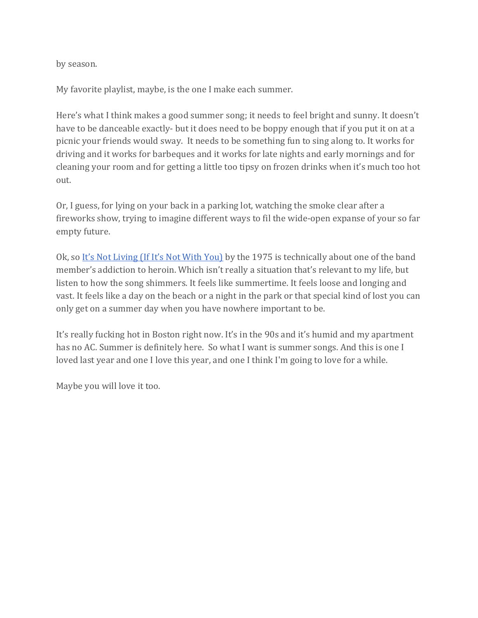by season.

My favorite playlist, maybe, is the one I make each summer.

Here's what I think makes a good summer song; it needs to feel bright and sunny. It doesn't have to be danceable exactly- but it does need to be boppy enough that if you put it on at a picnic your friends would sway. It needs to be something fun to sing along to. It works for driving and it works for barbeques and it works for late nights and early mornings and for cleaning your room and for getting a little too tipsy on frozen drinks when it's much too hot out. 

Or, I guess, for lying on your back in a parking lot, watching the smoke clear after a fireworks show, trying to imagine different ways to fil the wide-open expanse of your so far empty future.

Ok, so It's Not Living (If It's Not With You) by the 1975 is technically about one of the band member's addiction to heroin. Which isn't really a situation that's relevant to my life, but listen to how the song shimmers. It feels like summertime. It feels loose and longing and vast. It feels like a day on the beach or a night in the park or that special kind of lost you can only get on a summer day when you have nowhere important to be.

It's really fucking hot in Boston right now. It's in the 90s and it's humid and my apartment has no AC. Summer is definitely here. So what I want is summer songs. And this is one I loved last year and one I love this year, and one I think I'm going to love for a while.

Maybe you will love it too.